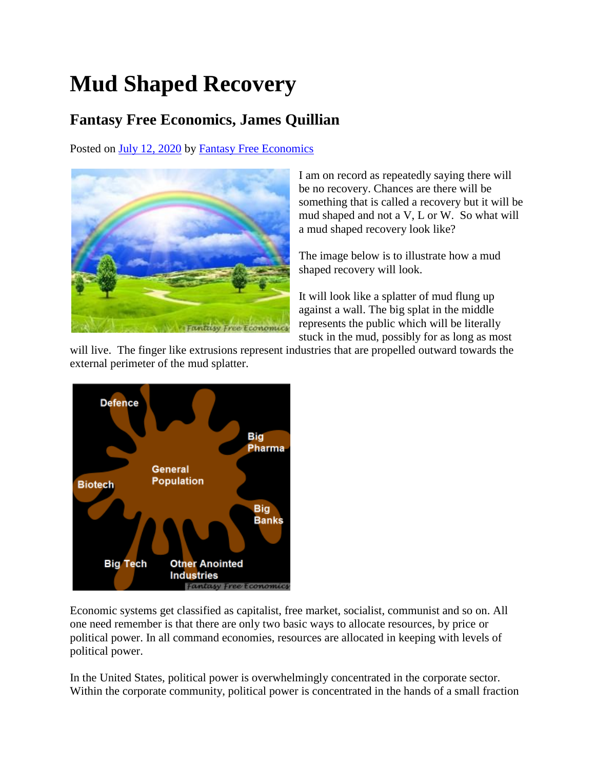## **Mud Shaped Recovery**

## **Fantasy Free Economics, James Quillian**

Posted on [July 12, 2020](http://quillian.net/blog/?p=7195) by [Fantasy Free Economics](http://quillian.net/blog/author/james-quillian/)



I am on record as repeatedly saying there will be no recovery. Chances are there will be something that is called a recovery but it will be mud shaped and not a V, L or W. So what will a mud shaped recovery look like?

The image below is to illustrate how a mud shaped recovery will look.

It will look like a splatter of mud flung up against a wall. The big splat in the middle represents the public which will be literally stuck in the mud, possibly for as long as most

will live. The finger like extrusions represent industries that are propelled outward towards the external perimeter of the mud splatter.



Economic systems get classified as capitalist, free market, socialist, communist and so on. All one need remember is that there are only two basic ways to allocate resources, by price or political power. In all command economies, resources are allocated in keeping with levels of political power.

In the United States, political power is overwhelmingly concentrated in the corporate sector. Within the corporate community, political power is concentrated in the hands of a small fraction